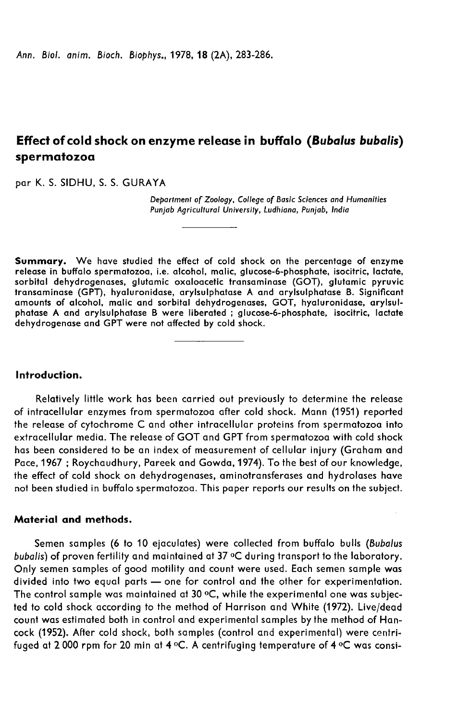# Effect of cold shock on enzyme release in buffalo (Bubalus bubalis) spermatozoa

par K. S. SIDHU, S. S. GURAYA

Department of Zoology, College of Basic Sciences and Humanities Punjab Agricultural University, Ludhiana, Punjab, India

Summary. We have studied the effect of cold shock on the percentage of enzyme release in buffalo spermatozoa, i.e. alcohol, malic, glucose-6-phosphate, isocitric, lactate, sorbital dehydrogenases, glutamic oxaloacetic transaminase (GOT), glutamic pyruvic transaminase (GPT), hyaluronidase, arylsulphatase A and arylsulphatase B. Significant amounts of alcohol, malic and sorbital dehydrogenases, GOT, hyaluronidase, arylsulphatase A and arylsulphatase B were liberated ; glucose-6-phosphate, isocitric, lactate dehydrogenase and GPT were not affected by cold shock.

## Introduction.

Relatively little work has been carried out previously to determine the release of intracellular enzymes from spermatozoa after cold shock. Mann (1951) reported the release of cytochrome C and other intracellular proteins from spermatozoa into extracellular media. The release of GOT and GPT from spermatozoa with cold shock has been considered to be an index of measurement of cellular injury (Graham and Pace, 1967; Roychaudhury, Pareek and Gowda, 1974). To the best of our knowledge, the effect of cold shock on dehydrogenases, aminotransferases and hydrolases have not been studied in buffalo spermatozoa. This paper reports our results on the subject.

## Material and methods.

Semen samples (6 to 10 ejaculates) were collected from buffalo bulls (Bubalus bubalis) of proven fertility and maintained at 37 °C during transport to the laboratory. Only semen samples of good motility and count were used. Each semen sample was divided into two equal parts - one for control and the other for experimentation. The control sample was maintained at 30 °C, while the experimental one was subjected to cold shock according to the method of Harrison and White (1972). Live/dead count was estimated both in control and experimental samples by the method of Hancock (1952). After cold shock, both samples (control and experimental) were centrifuged at 2 000 rpm for 20 min at 4 °C. A centrifuging temperature of 4 °C was consi-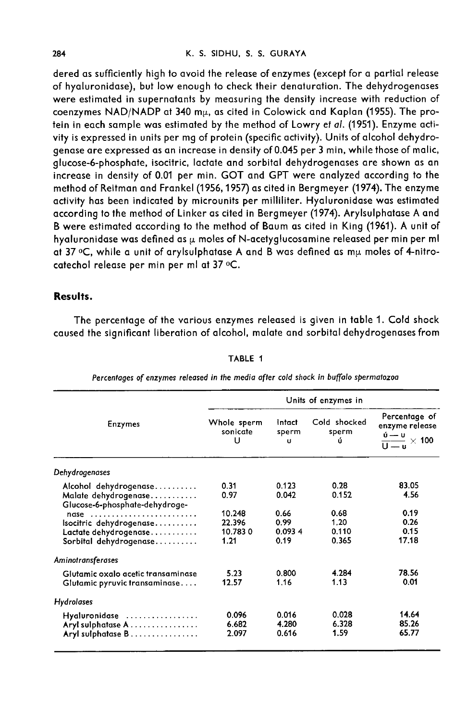dered as sufficiently high to avoid the release of enzymes (except for a partial release of hyaluronidase), but low enough to check their denaturation. The dehydrogenases were estimated in supernatants by measuring the density increase with reduction of coenzymes NAD/NADP at 340 m<sub>y</sub>, as cited in Colowick and Kaplan (1955). The protein in each sample was estimated by the method of Lowry et al. (1951). Enzyme activity is expressed in units per mg of protein (specific activity). Units of alcohol dehydrogenase are expressed as an increase in density of 0.045 per 3 min, while those of malic, glucose-6-phosphate, isocitric, lactate and sorbital dehydrogenases are shown as an increase in density of 0.01 per min. GOT and GPT were analyzed according to the method of Reitman and Frankel (1956,1957) as cited in Bergmeyer (1974). The enzyme activity has been indicated by microunits per milliliter. Hyaluronidase was estimated according to the method of Linker as cited in Bergmeyer (1974). Arylsulphatase A and B were estimated according to the method of Baum as cited in King (1961). A unit of hyaluronidase was defined as  $\mu$  moles of N-acetyglucosamine released per min per ml at 37 oC, while a unit of arylsulphatase A and B was defined as my moles of 4-nitrocatechol release per min per ml at 37 °C.

## Results.

The percentage of the various enzymes released is given in table 1. Cold shock caused the significant liberation of alcohol, malate and sorbital dehydrogenases from

| <b>Enzymes</b>                                                                  | Units of enzymes in          |                         |                            |                                                                                          |
|---------------------------------------------------------------------------------|------------------------------|-------------------------|----------------------------|------------------------------------------------------------------------------------------|
|                                                                                 | Whole sperm<br>sonicate<br>u | Intact<br>sperm<br>u    | Cold shocked<br>sperm<br>ú | Percentage of<br>enzyme release<br>ú — u<br>$\frac{1}{\mathsf{U}-\mathsf{u}} \times 100$ |
| Dehydrogenases                                                                  |                              |                         |                            |                                                                                          |
| Alcohol dehydrogenase<br>Malate dehydrogenase<br>Glucose-6-phosphate-dehydroge- | 0.31<br>0.97                 | 0.123<br>0.042          | 0.28<br>0.152              | 83.05<br>4.56                                                                            |
| $n$ dse<br>Isocitric dehydrogenase                                              | 10.248<br>22.396             | 0.66<br>0.99            | 0.68<br>1.20               | 0.19<br>0.26                                                                             |
| Lactate dehydrogenase<br>Sorbital dehydrogenase                                 | 10.7830<br>1.21              | 0.0934<br>0.19          | 0.110<br>0.365             | 0.15<br>17.18                                                                            |
| Aminotransferases                                                               |                              |                         |                            |                                                                                          |
| Glutamic oxalo acetic transaminase<br>Glutamic pyruvic transaminase             | 5.23<br>12.57                | 0.800<br>1.16           | 4.284<br>1.13              | 78.56<br>0.01                                                                            |
| Hydrolases                                                                      |                              |                         |                            |                                                                                          |
| Hyaluronidase<br>Aryl sulphatase A<br>Aryl sulphatase B                         | 0.096<br>6.682<br>2.097      | 0.016<br>4.280<br>0.616 | 0.028<br>6.328<br>1.59     | 14.64<br>85.26<br>65.77                                                                  |

TABLE 1

Percentages of enzymes released in the media after cold shock in buffalo spermatozoa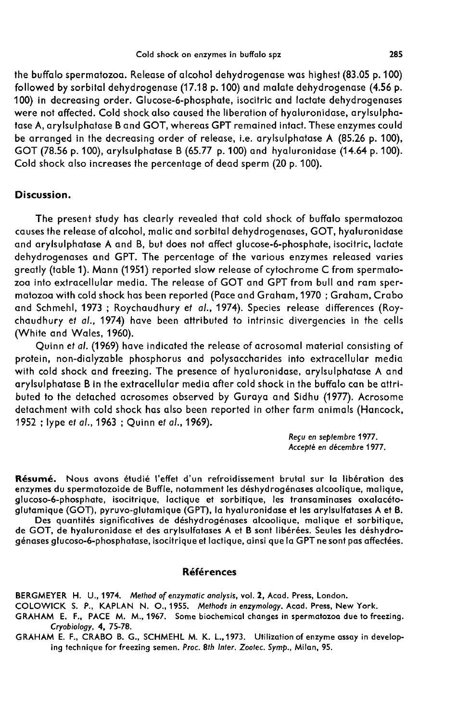the buffalo spermatozoa. Release of alcohol dehydrogenase was highest (83.05 p. 100) followed by sorbital dehydrogenase (17.18 p. 100) and malate dehydrogenase (4.56 p. 100) in decreasing order. Glucose-6-phosphate, isocitric and lactate dehydrogenases were not affected. Cold shock also caused the liberation of hyaluronidase, arylsulpha tase A, arylsulphatase B and GOT, whereas GPT remained intact. These enzymes could be arranged in the decreasing order of release, i.e. arylsulphatase A (85.26 p. 100), GOT (78.56 p. 100), arylsulphatase B (65.77 p. 100) and hyaluronidase (14.64 p. 100). Cold shock also increases the percentage of dead sperm (20 p. 100).

## Discussion.

The present study has clearly revealed that cold shock of buffalo spermatozoa causes the release of alcohol, malic and sorbital dehydrogenases, GOT, hyaluronidase and arylsulphatase A and B, but does not affect glucose-6-phosphate, isocitric, lactate dehydrogenases and GPT. The percentage of the various enzymes released varies<br>greatly (table 1). Mann (1951) reported slow release of cytochrome C from spermatozoa into extracellular media. The release of GOT and GPT from bull and ram spermatozoa with cold shock has been reported (Pace and Graham, 1970 ; Graham, Crabo and Schmehl, 1973 ; Roychaudhury et al., 1974). Species release differences (Roychaudhury et al., 1974) have been attributed to intrinsic divergencies in the cells (White and Wales, 1960).

Quinn et al. (1969) have indicated the release of acrosomal material consisting of protein, non-dialyzable phosphorus and polysaccharides into extracellular media with cold shock and freezing. The presence of hyaluronidase, arylsulphatase A and arylsulphatase B in the extracellular media after cold shock in the buffalo can be attributed to the detached acrosomes observed by Guraya and Sidhu (1977). Acrosome detachment with cold shock has also been reported in other farm animals (Hancock, 1952 ; lype et al., 1963 ; Quinn et al., 1969).

> Reçu en septembre 1977. Accept6 en décembre 1977.

Résumé. Nous avons étudié l'effet d'un refroidissement brutal sur la libération des enzymes du spermatozoide de Buffle, notamment les déshydrogénases alcoolique, malique, glucoso-6-phosphate, isocitrique, lactique et sorbitique, les transaminases oxalacétoglutamique (GOT), pyruvo-glutamique (GPT), la hyaluronidase et les arylsulfatases A et B.

Des quantités significatives de déshydrogénases alcoolique, malique et sorbitique, de GOT, de hyaluronidase et des arylsulfatases A et B sont libérées. Seules les déshydrogénases glucoso-6-phosphatase, isocitrique et lactique, ainsi que la GPT ne sont pas affectées.

## Références

BERGMEYER H. U., 1974. Method of enzymatic analysis, vol. 2, Acad. Press, London.

COLOWICK S. P., KAPLAN N. O., 1955. Methods in enzymology. Acad. Press, New York.

GRAHAM E. F., PACE M. M., 1967. Some biochemical changes in spermatozoa due to freezing. Cryobiology, 4, 75-78.

GRAHAM E. F., CRABO B. G., SCHMEHL M. K. L.,1973. Utilization of enzyme assay in developing technique for freezing semen. Proc. 8th Inter. Zootec. Symp., Milan, 95.